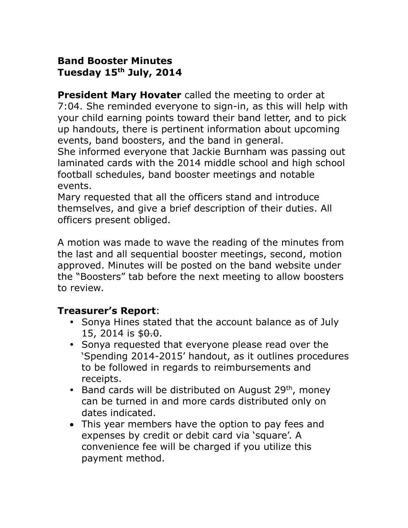#### **Band Booster Minutes Tuesday 15th July, 2014**

**President Mary Hovater** called the meeting to order at 7:04. She reminded everyone to sign-in, as this will help with your child earning points toward their band letter, and to pick up handouts, there is pertinent information about upcoming events, band boosters, and the band in general.

She informed everyone that Jackie Burnham was passing out laminated cards with the 2014 middle school and high school football schedules, band booster meetings and notable events.

Mary requested that all the officers stand and introduce themselves, and give a brief description of their duties. All officers present obliged.

A motion was made to wave the reading of the minutes from the last and all sequential booster meetings, second, motion approved. Minutes will be posted on the band website under the "Boosters" tab before the next meeting to allow boosters to review.

# **Treasurer's Report**:

- Sonya Hines stated that the account balance as of July 15, 2014 is  $$9.9$ .
- Sonya requested that everyone please read over the 'Spending 2014-2015' handout, as it outlines procedures to be followed in regards to reimbursements and receipts.
- Band cards will be distributed on August 29<sup>th</sup>, money can be turned in and more cards distributed only on dates indicated.
- This year members have the option to pay fees and expenses by credit or debit card via 'square'. A convenience fee will be charged if you utilize this payment method.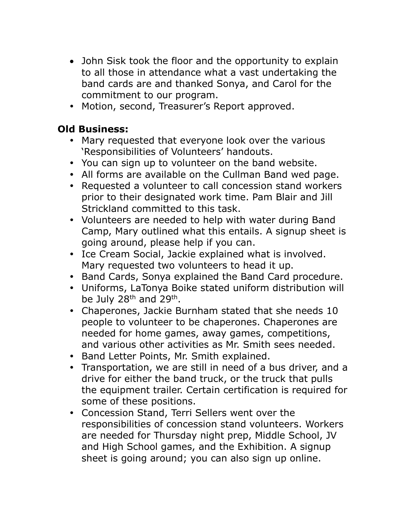- John Sisk took the floor and the opportunity to explain to all those in attendance what a vast undertaking the band cards are and thanked Sonya, and Carol for the commitment to our program.
- Motion, second, Treasurer's Report approved.

## **Old Business:**

- Mary requested that everyone look over the various 'Responsibilities of Volunteers' handouts.
- You can sign up to volunteer on the band website.
- All forms are available on the Cullman Band wed page.
- Requested a volunteer to call concession stand workers prior to their designated work time. Pam Blair and Jill Strickland committed to this task.
- Volunteers are needed to help with water during Band Camp, Mary outlined what this entails. A signup sheet is going around, please help if you can.
- Ice Cream Social, Jackie explained what is involved. Mary requested two volunteers to head it up.
- Band Cards, Sonya explained the Band Card procedure.
- Uniforms, LaTonya Boike stated uniform distribution will be July 28<sup>th</sup> and 29<sup>th</sup>.
- Chaperones, Jackie Burnham stated that she needs 10 people to volunteer to be chaperones. Chaperones are needed for home games, away games, competitions, and various other activities as Mr. Smith sees needed.
- Band Letter Points, Mr. Smith explained.
- Transportation, we are still in need of a bus driver, and a drive for either the band truck, or the truck that pulls the equipment trailer. Certain certification is required for some of these positions.
- Concession Stand, Terri Sellers went over the responsibilities of concession stand volunteers. Workers are needed for Thursday night prep, Middle School, JV and High School games, and the Exhibition. A signup sheet is going around; you can also sign up online.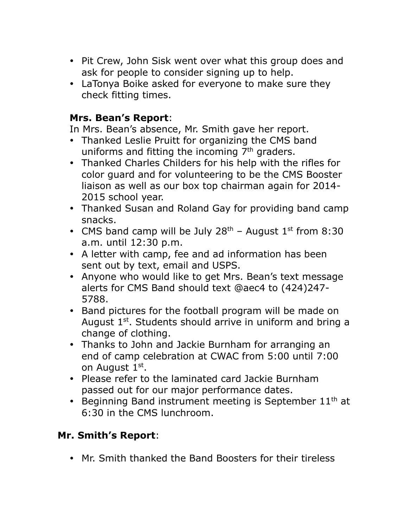- Pit Crew, John Sisk went over what this group does and ask for people to consider signing up to help.
- LaTonya Boike asked for everyone to make sure they check fitting times.

## **Mrs. Bean's Report**:

In Mrs. Bean's absence, Mr. Smith gave her report.

- Thanked Leslie Pruitt for organizing the CMS band uniforms and fitting the incoming  $7<sup>th</sup>$  graders.
- Thanked Charles Childers for his help with the rifles for color guard and for volunteering to be the CMS Booster liaison as well as our box top chairman again for 2014- 2015 school year.
- Thanked Susan and Roland Gay for providing band camp snacks.
- CMS band camp will be July  $28<sup>th</sup>$  August  $1<sup>st</sup>$  from 8:30 a.m. until 12:30 p.m.
- A letter with camp, fee and ad information has been sent out by text, email and USPS.
- Anyone who would like to get Mrs. Bean's text message alerts for CMS Band should text @aec4 to (424)247- 5788.
- Band pictures for the football program will be made on August  $1<sup>st</sup>$ . Students should arrive in uniform and bring a change of clothing.
- Thanks to John and Jackie Burnham for arranging an end of camp celebration at CWAC from 5:00 until 7:00 on August 1st.
- Please refer to the laminated card Jackie Burnham passed out for our major performance dates.
- **•** Beginning Band instrument meeting is September  $11<sup>th</sup>$  at 6:30 in the CMS lunchroom.

# **Mr. Smith's Report**:

Mr. Smith thanked the Band Boosters for their tireless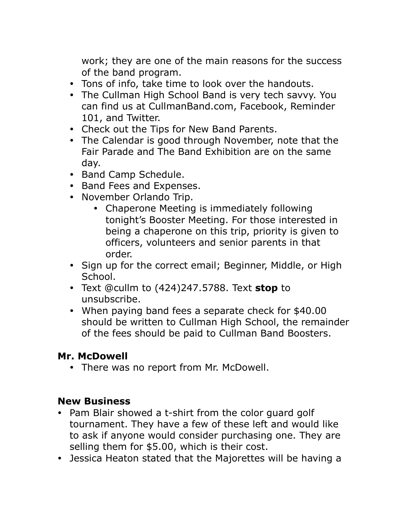work; they are one of the main reasons for the success of the band program.

- Tons of info, take time to look over the handouts.
- The Cullman High School Band is very tech savvy. You can find us at CullmanBand.com, Facebook, Reminder 101, and Twitter.
- Check out the Tips for New Band Parents.
- The Calendar is good through November, note that the Fair Parade and The Band Exhibition are on the same day.
- Band Camp Schedule.
- Band Fees and Expenses.
- November Orlando Trip.
	- Chaperone Meeting is immediately following tonight's Booster Meeting. For those interested in being a chaperone on this trip, priority is given to officers, volunteers and senior parents in that order.
- Sign up for the correct email; Beginner, Middle, or High School.
- Text @cullm to (424)247.5788. Text **stop** to unsubscribe.
- When paying band fees a separate check for \$40.00 should be written to Cullman High School, the remainder of the fees should be paid to Cullman Band Boosters.

# **Mr. McDowell**

• There was no report from Mr. McDowell.

# **New Business**

- Pam Blair showed a t-shirt from the color quard golf tournament. They have a few of these left and would like to ask if anyone would consider purchasing one. They are selling them for \$5.00, which is their cost.
- Jessica Heaton stated that the Majorettes will be having a